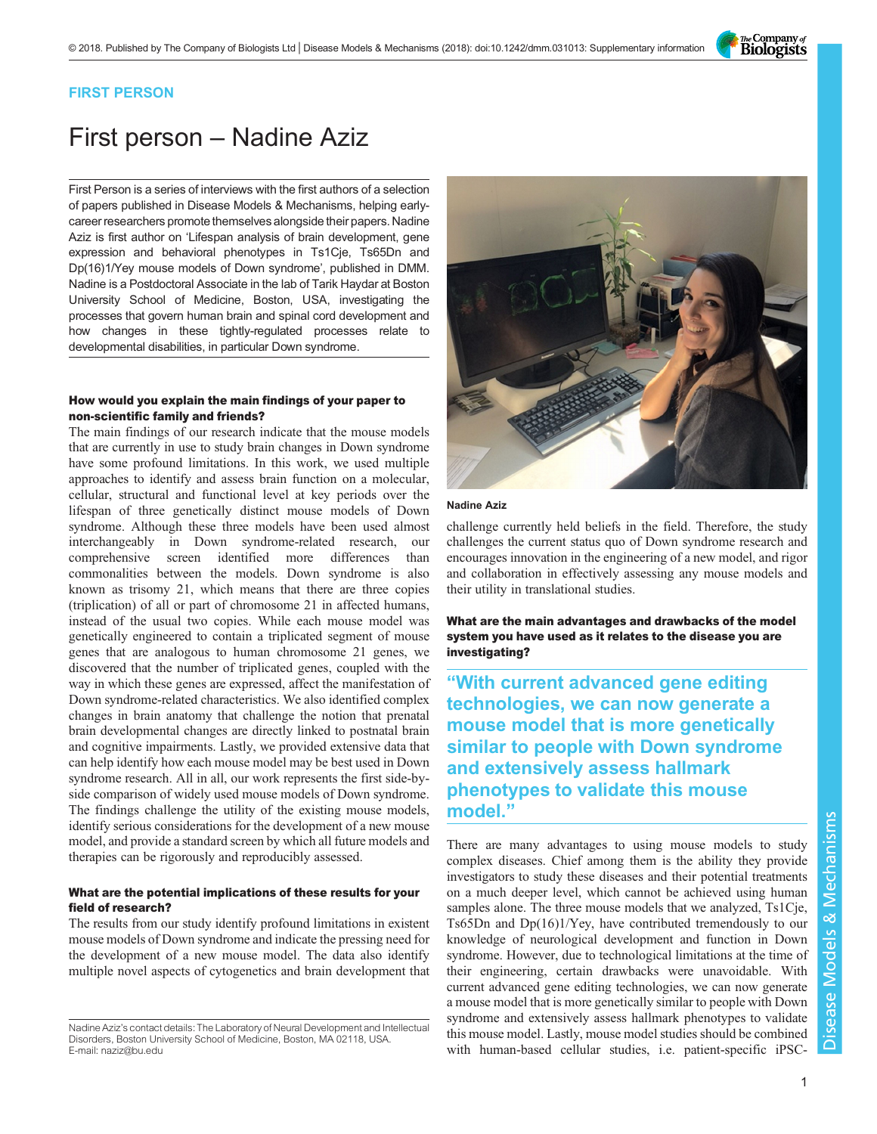The Company of<br>**Biologists** 

# FIRST PERSON

# First person – Nadine Aziz

First Person is a series of interviews with the first authors of a selection of papers published in Disease Models & Mechanisms, helping earlycareer researchers promote themselves alongside their papers. Nadine Aziz is first author on '[Lifespan analysis of brain development, gene](#page-1-0) [expression and behavioral phenotypes in Ts1Cje, Ts65Dn and](#page-1-0) [Dp\(16\)1/Yey mouse models of Down syndrome](#page-1-0)', published in DMM. Nadine is a Postdoctoral Associate in the lab of Tarik Haydar at Boston University School of Medicine, Boston, USA, investigating the processes that govern human brain and spinal cord development and how changes in these tightly-regulated processes relate to developmental disabilities, in particular Down syndrome.

# How would you explain the main findings of your paper to non-scientific family and friends?

The main findings of our research indicate that the mouse models that are currently in use to study brain changes in Down syndrome have some profound limitations. In this work, we used multiple approaches to identify and assess brain function on a molecular, cellular, structural and functional level at key periods over the lifespan of three genetically distinct mouse models of Down syndrome. Although these three models have been used almost interchangeably in Down syndrome-related research, our comprehensive screen identified more differences than commonalities between the models. Down syndrome is also known as trisomy 21, which means that there are three copies (triplication) of all or part of chromosome 21 in affected humans, instead of the usual two copies. While each mouse model was genetically engineered to contain a triplicated segment of mouse genes that are analogous to human chromosome 21 genes, we discovered that the number of triplicated genes, coupled with the way in which these genes are expressed, affect the manifestation of Down syndrome-related characteristics. We also identified complex changes in brain anatomy that challenge the notion that prenatal brain developmental changes are directly linked to postnatal brain and cognitive impairments. Lastly, we provided extensive data that can help identify how each mouse model may be best used in Down syndrome research. All in all, our work represents the first side-byside comparison of widely used mouse models of Down syndrome. The findings challenge the utility of the existing mouse models, identify serious considerations for the development of a new mouse model, and provide a standard screen by which all future models and therapies can be rigorously and reproducibly assessed.

## What are the potential implications of these results for your field of research?

The results from our study identify profound limitations in existent mouse models of Down syndrome and indicate the pressing need for the development of a new mouse model. The data also identify multiple novel aspects of cytogenetics and brain development that



#### Nadine Aziz

challenge currently held beliefs in the field. Therefore, the study challenges the current status quo of Down syndrome research and encourages innovation in the engineering of a new model, and rigor and collaboration in effectively assessing any mouse models and their utility in translational studies.

What are the main advantages and drawbacks of the model system you have used as it relates to the disease you are investigating?

"With current advanced gene editing technologies, we can now generate a mouse model that is more genetically similar to people with Down syndrome and extensively assess hallmark phenotypes to validate this mouse model."

There are many advantages to using mouse models to study complex diseases. Chief among them is the ability they provide investigators to study these diseases and their potential treatments on a much deeper level, which cannot be achieved using human samples alone. The three mouse models that we analyzed, Ts1Cje, Ts65Dn and Dp(16)1/Yey, have contributed tremendously to our knowledge of neurological development and function in Down syndrome. However, due to technological limitations at the time of their engineering, certain drawbacks were unavoidable. With current advanced gene editing technologies, we can now generate a mouse model that is more genetically similar to people with Down syndrome and extensively assess hallmark phenotypes to validate this mouse model. Lastly, mouse model studies should be combined with human-based cellular studies, i.e. patient-specific iPSC-

Nadine Aziz's contact details: The Laboratory of Neural Development and Intellectual Disorders, Boston University School of Medicine, Boston, MA 02118, USA. E-mail: [naziz@bu.edu](mailto:naziz@bu.edu)